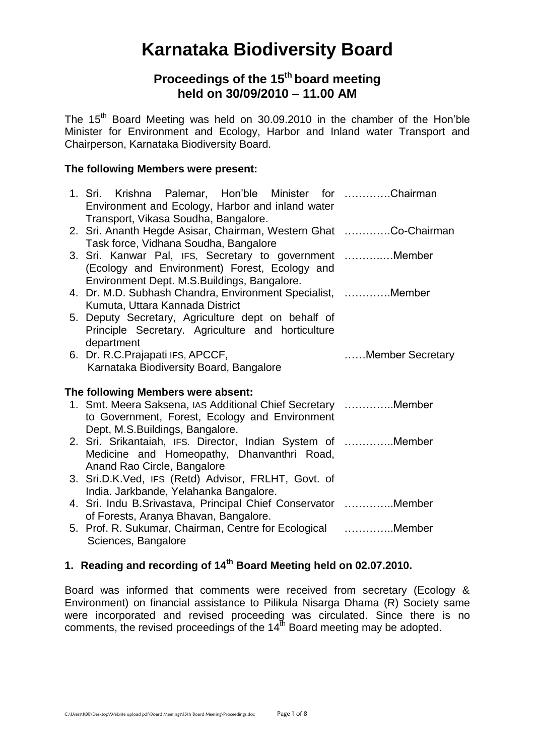# **Karnataka Biodiversity Board**

# **Proceedings of the 15 th board meeting held on 30/09/2010 – 11.00 AM**

The 15<sup>th</sup> Board Meeting was held on 30.09.2010 in the chamber of the Hon'ble Minister for Environment and Ecology, Harbor and Inland water Transport and Chairperson, Karnataka Biodiversity Board.

# **The following Members were present:**

|                                    | 1. Sri. Krishna Palemar, Hon'ble Minister for Chairman<br>Environment and Ecology, Harbor and inland water<br>Transport, Vikasa Soudha, Bangalore.       |                  |
|------------------------------------|----------------------------------------------------------------------------------------------------------------------------------------------------------|------------------|
|                                    | 2. Sri. Ananth Hegde Asisar, Chairman, Western Ghat Co-Chairman<br>Task force, Vidhana Soudha, Bangalore                                                 |                  |
|                                    | 3. Sri. Kanwar Pal, IFS, Secretary to government Member<br>(Ecology and Environment) Forest, Ecology and<br>Environment Dept. M.S. Buildings, Bangalore. |                  |
|                                    | 4. Dr. M.D. Subhash Chandra, Environment Specialist, Member<br>Kumuta, Uttara Kannada District                                                           |                  |
|                                    | 5. Deputy Secretary, Agriculture dept on behalf of<br>Principle Secretary. Agriculture and horticulture<br>department                                    |                  |
|                                    | 6. Dr. R.C. Prajapati IFS, APCCF,<br>Karnataka Biodiversity Board, Bangalore                                                                             | Member Secretary |
| The following Members were absent: |                                                                                                                                                          |                  |
|                                    | 1. Smt. Meera Saksena, IAS Additional Chief Secretary Member<br>to Government, Forest, Ecology and Environment<br>Dept, M.S.Buildings, Bangalore.        |                  |
|                                    | 2. Sri. Srikantaiah, IFS. Director, Indian System of Member<br>Medicine and Homeopathy, Dhanvanthri Road,<br>Anand Rao Circle, Bangalore                 |                  |
|                                    | 3. Sri.D.K.Ved, IFS (Retd) Advisor, FRLHT, Govt. of<br>India. Jarkbande, Yelahanka Bangalore.                                                            |                  |
|                                    | 4. Sri. Indu B. Srivastava, Principal Chief Conservator  Member<br>of Forests, Aranya Bhavan, Bangalore.                                                 |                  |
|                                    | 5. Prof. R. Sukumar, Chairman, Centre for Ecological Member<br>Sciences, Bangalore                                                                       |                  |

# **1. Reading and recording of 14 th Board Meeting held on 02.07.2010.**

Board was informed that comments were received from secretary (Ecology & Environment) on financial assistance to Pilikula Nisarga Dhama (R) Society same were incorporated and revised proceeding was circulated. Since there is no comments, the revised proceedings of the 14<sup>th</sup> Board meeting may be adopted.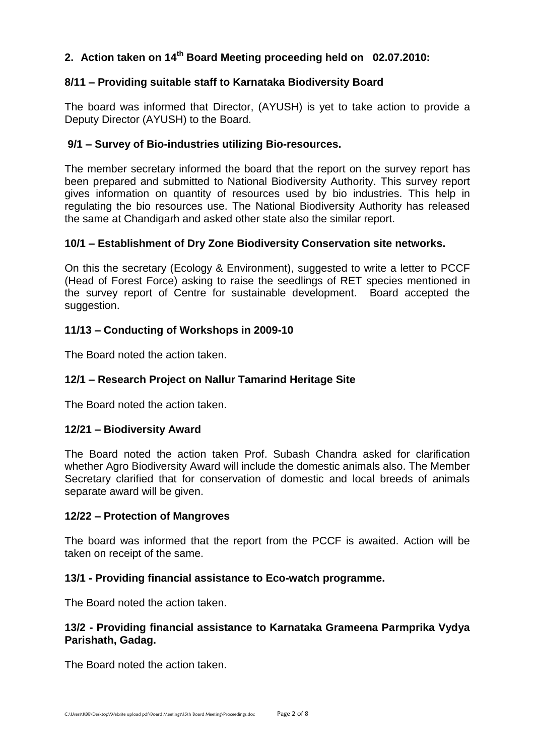# **2. Action taken on 14 th Board Meeting proceeding held on 02.07.2010:**

# **8/11 – Providing suitable staff to Karnataka Biodiversity Board**

The board was informed that Director, (AYUSH) is yet to take action to provide a Deputy Director (AYUSH) to the Board.

# **9/1 – Survey of Bio-industries utilizing Bio-resources.**

The member secretary informed the board that the report on the survey report has been prepared and submitted to National Biodiversity Authority. This survey report gives information on quantity of resources used by bio industries. This help in regulating the bio resources use. The National Biodiversity Authority has released the same at Chandigarh and asked other state also the similar report.

# **10/1 – Establishment of Dry Zone Biodiversity Conservation site networks.**

On this the secretary (Ecology & Environment), suggested to write a letter to PCCF (Head of Forest Force) asking to raise the seedlings of RET species mentioned in the survey report of Centre for sustainable development. Board accepted the suggestion.

# **11/13 – Conducting of Workshops in 2009-10**

The Board noted the action taken.

# **12/1 – Research Project on Nallur Tamarind Heritage Site**

The Board noted the action taken.

# **12/21 – Biodiversity Award**

The Board noted the action taken Prof. Subash Chandra asked for clarification whether Agro Biodiversity Award will include the domestic animals also. The Member Secretary clarified that for conservation of domestic and local breeds of animals separate award will be given.

# **12/22 – Protection of Mangroves**

The board was informed that the report from the PCCF is awaited. Action will be taken on receipt of the same.

# **13/1 - Providing financial assistance to Eco-watch programme.**

The Board noted the action taken.

# **13/2 - Providing financial assistance to Karnataka Grameena Parmprika Vydya Parishath, Gadag.**

The Board noted the action taken.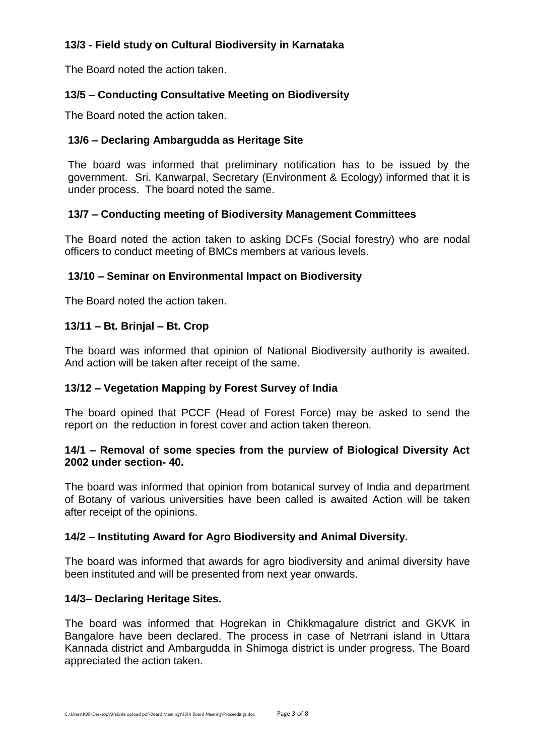# **13/3 - Field study on Cultural Biodiversity in Karnataka**

The Board noted the action taken.

# **13/5 – Conducting Consultative Meeting on Biodiversity**

The Board noted the action taken.

# **13/6 – Declaring Ambargudda as Heritage Site**

The board was informed that preliminary notification has to be issued by the government. Sri. Kanwarpal, Secretary (Environment & Ecology) informed that it is under process. The board noted the same.

# **13/7 – Conducting meeting of Biodiversity Management Committees**

The Board noted the action taken to asking DCFs (Social forestry) who are nodal officers to conduct meeting of BMCs members at various levels.

# **13/10 – Seminar on Environmental Impact on Biodiversity**

The Board noted the action taken.

# **13/11 – Bt. Brinjal – Bt. Crop**

The board was informed that opinion of National Biodiversity authority is awaited. And action will be taken after receipt of the same.

# **13/12 – Vegetation Mapping by Forest Survey of India**

The board opined that PCCF (Head of Forest Force) may be asked to send the report on the reduction in forest cover and action taken thereon.

# **14/1 – Removal of some species from the purview of Biological Diversity Act 2002 under section- 40.**

The board was informed that opinion from botanical survey of India and department of Botany of various universities have been called is awaited Action will be taken after receipt of the opinions.

# **14/2 – Instituting Award for Agro Biodiversity and Animal Diversity.**

The board was informed that awards for agro biodiversity and animal diversity have been instituted and will be presented from next year onwards.

# **14/3– Declaring Heritage Sites.**

The board was informed that Hogrekan in Chikkmagalure district and GKVK in Bangalore have been declared. The process in case of Netrrani island in Uttara Kannada district and Ambargudda in Shimoga district is under progress. The Board appreciated the action taken.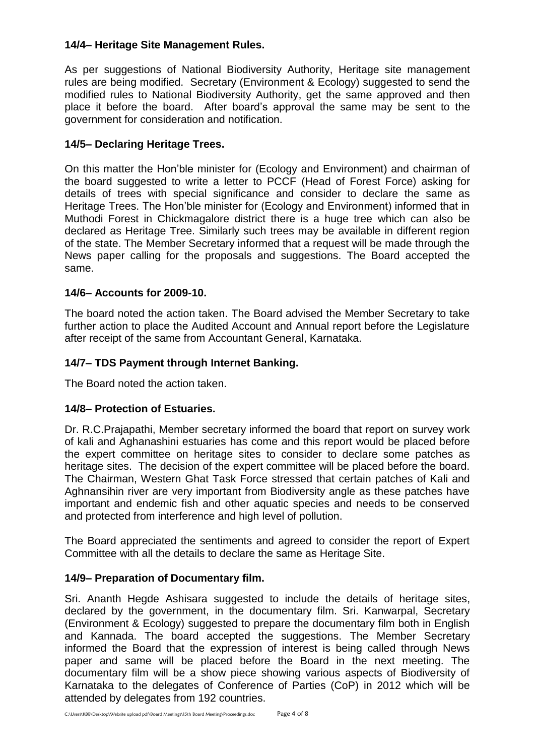# **14/4– Heritage Site Management Rules.**

As per suggestions of National Biodiversity Authority, Heritage site management rules are being modified. Secretary (Environment & Ecology) suggested to send the modified rules to National Biodiversity Authority, get the same approved and then place it before the board. After board's approval the same may be sent to the government for consideration and notification.

# **14/5– Declaring Heritage Trees.**

On this matter the Hon'ble minister for (Ecology and Environment) and chairman of the board suggested to write a letter to PCCF (Head of Forest Force) asking for details of trees with special significance and consider to declare the same as Heritage Trees. The Hon'ble minister for (Ecology and Environment) informed that in Muthodi Forest in Chickmagalore district there is a huge tree which can also be declared as Heritage Tree. Similarly such trees may be available in different region of the state. The Member Secretary informed that a request will be made through the News paper calling for the proposals and suggestions. The Board accepted the same.

# **14/6– Accounts for 2009-10.**

The board noted the action taken. The Board advised the Member Secretary to take further action to place the Audited Account and Annual report before the Legislature after receipt of the same from Accountant General, Karnataka.

# **14/7– TDS Payment through Internet Banking.**

The Board noted the action taken.

# **14/8– Protection of Estuaries.**

Dr. R.C.Prajapathi, Member secretary informed the board that report on survey work of kali and Aghanashini estuaries has come and this report would be placed before the expert committee on heritage sites to consider to declare some patches as heritage sites. The decision of the expert committee will be placed before the board. The Chairman, Western Ghat Task Force stressed that certain patches of Kali and Aghnansihin river are very important from Biodiversity angle as these patches have important and endemic fish and other aquatic species and needs to be conserved and protected from interference and high level of pollution.

The Board appreciated the sentiments and agreed to consider the report of Expert Committee with all the details to declare the same as Heritage Site.

# **14/9– Preparation of Documentary film.**

Sri. Ananth Hegde Ashisara suggested to include the details of heritage sites, declared by the government, in the documentary film. Sri. Kanwarpal, Secretary (Environment & Ecology) suggested to prepare the documentary film both in English and Kannada. The board accepted the suggestions. The Member Secretary informed the Board that the expression of interest is being called through News paper and same will be placed before the Board in the next meeting. The documentary film will be a show piece showing various aspects of Biodiversity of Karnataka to the delegates of Conference of Parties (CoP) in 2012 which will be attended by delegates from 192 countries.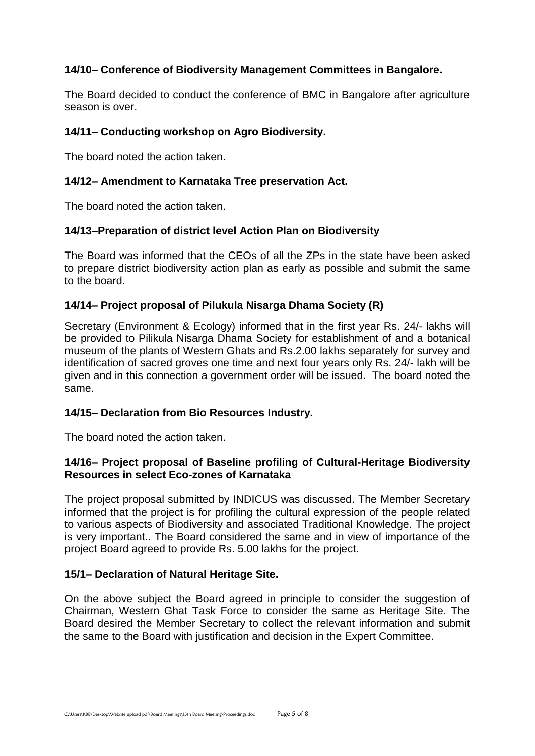# **14/10– Conference of Biodiversity Management Committees in Bangalore.**

The Board decided to conduct the conference of BMC in Bangalore after agriculture season is over.

#### **14/11– Conducting workshop on Agro Biodiversity.**

The board noted the action taken.

#### **14/12– Amendment to Karnataka Tree preservation Act.**

The board noted the action taken.

#### **14/13–Preparation of district level Action Plan on Biodiversity**

The Board was informed that the CEOs of all the ZPs in the state have been asked to prepare district biodiversity action plan as early as possible and submit the same to the board.

#### **14/14– Project proposal of Pilukula Nisarga Dhama Society (R)**

Secretary (Environment & Ecology) informed that in the first year Rs. 24/- lakhs will be provided to Pilikula Nisarga Dhama Society for establishment of and a botanical museum of the plants of Western Ghats and Rs.2.00 lakhs separately for survey and identification of sacred groves one time and next four years only Rs. 24/- lakh will be given and in this connection a government order will be issued. The board noted the same.

#### **14/15– Declaration from Bio Resources Industry.**

The board noted the action taken.

# **14/16– Project proposal of Baseline profiling of Cultural-Heritage Biodiversity Resources in select Eco-zones of Karnataka**

The project proposal submitted by INDICUS was discussed. The Member Secretary informed that the project is for profiling the cultural expression of the people related to various aspects of Biodiversity and associated Traditional Knowledge. The project is very important.. The Board considered the same and in view of importance of the project Board agreed to provide Rs. 5.00 lakhs for the project.

#### **15/1– Declaration of Natural Heritage Site.**

On the above subject the Board agreed in principle to consider the suggestion of Chairman, Western Ghat Task Force to consider the same as Heritage Site. The Board desired the Member Secretary to collect the relevant information and submit the same to the Board with justification and decision in the Expert Committee.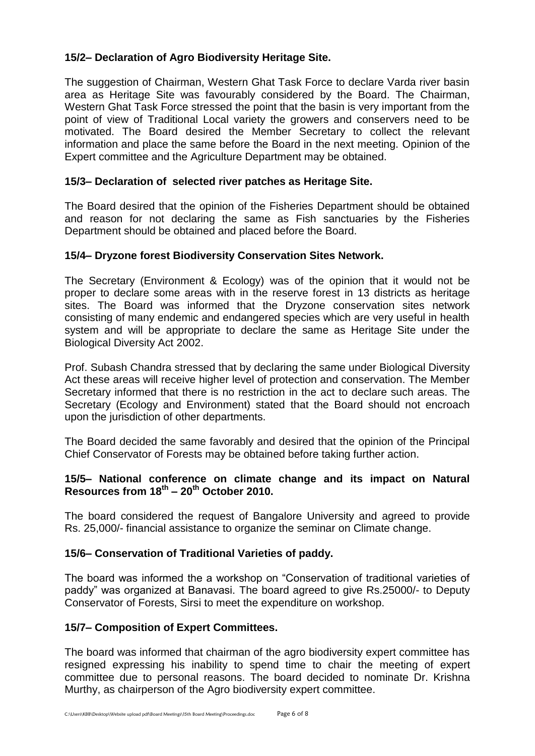# **15/2– Declaration of Agro Biodiversity Heritage Site.**

The suggestion of Chairman, Western Ghat Task Force to declare Varda river basin area as Heritage Site was favourably considered by the Board. The Chairman, Western Ghat Task Force stressed the point that the basin is very important from the point of view of Traditional Local variety the growers and conservers need to be motivated. The Board desired the Member Secretary to collect the relevant information and place the same before the Board in the next meeting. Opinion of the Expert committee and the Agriculture Department may be obtained.

# **15/3– Declaration of selected river patches as Heritage Site.**

The Board desired that the opinion of the Fisheries Department should be obtained and reason for not declaring the same as Fish sanctuaries by the Fisheries Department should be obtained and placed before the Board.

# **15/4– Dryzone forest Biodiversity Conservation Sites Network.**

The Secretary (Environment & Ecology) was of the opinion that it would not be proper to declare some areas with in the reserve forest in 13 districts as heritage sites. The Board was informed that the Dryzone conservation sites network consisting of many endemic and endangered species which are very useful in health system and will be appropriate to declare the same as Heritage Site under the Biological Diversity Act 2002.

Prof. Subash Chandra stressed that by declaring the same under Biological Diversity Act these areas will receive higher level of protection and conservation. The Member Secretary informed that there is no restriction in the act to declare such areas. The Secretary (Ecology and Environment) stated that the Board should not encroach upon the jurisdiction of other departments.

The Board decided the same favorably and desired that the opinion of the Principal Chief Conservator of Forests may be obtained before taking further action.

# **15/5– National conference on climate change and its impact on Natural Resources from 18th – 20th October 2010.**

The board considered the request of Bangalore University and agreed to provide Rs. 25,000/- financial assistance to organize the seminar on Climate change.

# **15/6– Conservation of Traditional Varieties of paddy.**

The board was informed the a workshop on "Conservation of traditional varieties of paddy" was organized at Banavasi. The board agreed to give Rs.25000/- to Deputy Conservator of Forests, Sirsi to meet the expenditure on workshop.

# **15/7– Composition of Expert Committees.**

The board was informed that chairman of the agro biodiversity expert committee has resigned expressing his inability to spend time to chair the meeting of expert committee due to personal reasons. The board decided to nominate Dr. Krishna Murthy, as chairperson of the Agro biodiversity expert committee.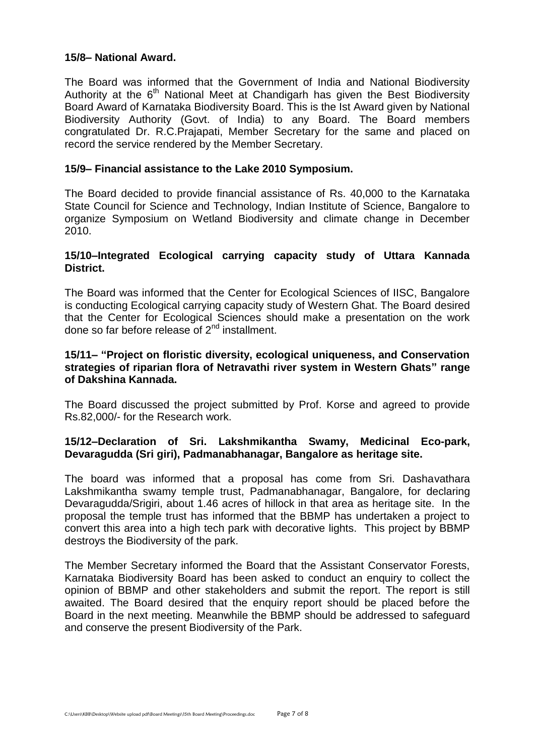#### **15/8– National Award.**

The Board was informed that the Government of India and National Biodiversity Authority at the  $6<sup>th</sup>$  National Meet at Chandigarh has given the Best Biodiversity Board Award of Karnataka Biodiversity Board. This is the Ist Award given by National Biodiversity Authority (Govt. of India) to any Board. The Board members congratulated Dr. R.C.Prajapati, Member Secretary for the same and placed on record the service rendered by the Member Secretary.

#### **15/9– Financial assistance to the Lake 2010 Symposium.**

The Board decided to provide financial assistance of Rs. 40,000 to the Karnataka State Council for Science and Technology, Indian Institute of Science, Bangalore to organize Symposium on Wetland Biodiversity and climate change in December 2010.

# **15/10–Integrated Ecological carrying capacity study of Uttara Kannada District.**

The Board was informed that the Center for Ecological Sciences of IISC, Bangalore is conducting Ecological carrying capacity study of Western Ghat. The Board desired that the Center for Ecological Sciences should make a presentation on the work done so far before release of 2<sup>nd</sup> installment.

#### **15/11– "Project on floristic diversity, ecological uniqueness, and Conservation strategies of riparian flora of Netravathi river system in Western Ghats" range of Dakshina Kannada.**

The Board discussed the project submitted by Prof. Korse and agreed to provide Rs.82,000/- for the Research work.

# **15/12–Declaration of Sri. Lakshmikantha Swamy, Medicinal Eco-park, Devaragudda (Sri giri), Padmanabhanagar, Bangalore as heritage site.**

The board was informed that a proposal has come from Sri. Dashavathara Lakshmikantha swamy temple trust, Padmanabhanagar, Bangalore, for declaring Devaragudda/Srigiri, about 1.46 acres of hillock in that area as heritage site. In the proposal the temple trust has informed that the BBMP has undertaken a project to convert this area into a high tech park with decorative lights. This project by BBMP destroys the Biodiversity of the park.

The Member Secretary informed the Board that the Assistant Conservator Forests, Karnataka Biodiversity Board has been asked to conduct an enquiry to collect the opinion of BBMP and other stakeholders and submit the report. The report is still awaited. The Board desired that the enquiry report should be placed before the Board in the next meeting. Meanwhile the BBMP should be addressed to safeguard and conserve the present Biodiversity of the Park.